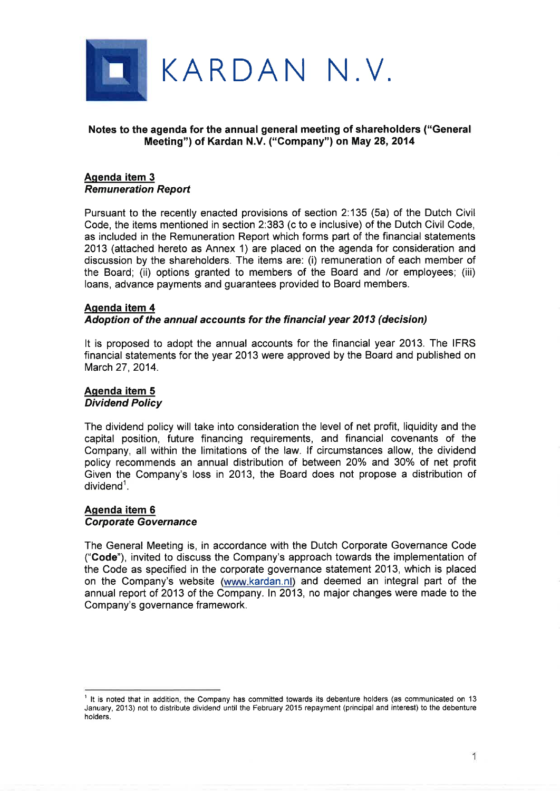

## Notes to the agenda for the annual general meeting of shareholders ("General Meeting") of Kardan N.V. ("Company") on May 28,2014

#### Aqenda item 3 Remuneration Report

Pursuant to the recently enacted provisions of section 2:135 (5a) of the Dutch Civil Code, the items mentioned in section 2:383 (c to e inclusive) of the Dutch Civil Code, as included in the Remuneration Report which forms part of the financial statements 2013 (attached hereto as Annex 1) are placed on the agenda for consideration and discussion by the shareholders. The items are: (i) remuneration of each member of the Board; (ii) options granted to members of the Board and /or employees; (iii) loans, advance payments and guarantees provided to Board members.

# Aqenda item 4 Adoption of the annual accounts for the financíal year 2013 (decision)

It is proposed to adopt the annual accounts for the financial year 2013. The IFRS financial statements for the year 2013 were approved by the Board and published on March 27, 2014.

# Aqenda item 5 Dividend Policy

The dividend policy will take into consideration the level of net profit, liquidity and the capital position, future financing requirements, and financial covenants of the Company, all within the limitations of the law. lf circumstances allow, the dividend policy recommends an annual distribution of between 20% and 30% of net profit Given the Company's loss in 2013, the Board does not propose a distribution of  $dividend<sup>1</sup>$ .

## Aqenda item 6 Corporate Governance

The General Meeting is, in accordance with the Dutch Corporate Governance Code ("Code"), invited to discuss the Company's approach towards the implementation of the Code as specified in the corporate governance statement 2013, which is placed on the Company's website (www.kardan.nl) and deemed an integral part of the annual report of 2013 of the Company. ln 2013, no major changes were made to the Company's governance framework.

 $<sup>1</sup>$  It is noted that in addition, the Company has committed towards its debenture holders (as communicated on 13</sup> January, 2013) not to distribute dividend until the February 2015 repayment (principal and interest) to the debenture holders.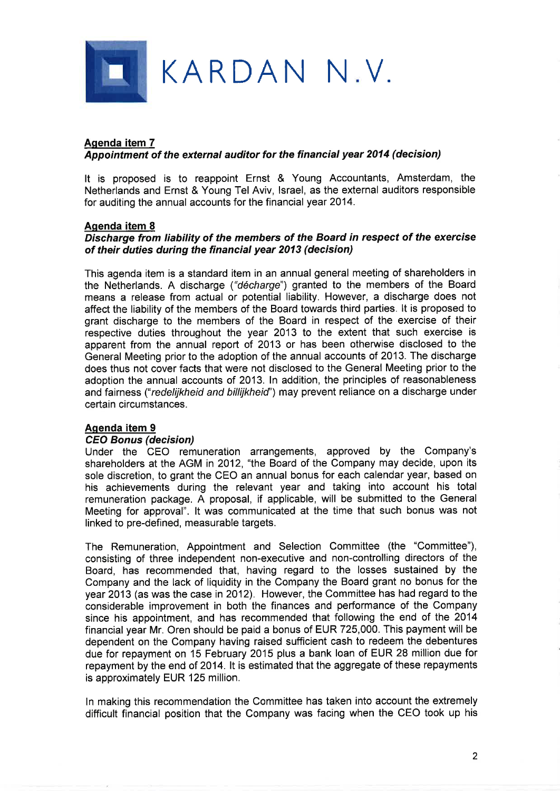

# Aqenda item 7 Appointment of the erternal auditor for the îinancial year 2014 (decision)

It is proposed is to reappoint Ernst & Young Accountants, Amsterdam, the Netherlands and Ernst & Young Tel Aviv, lsrael, as the external auditors responsible for auditing the annual accounts for the financial year 2Q14.

#### Aqenda item 8

## Discharge from liability of the members of the Board ín respect of the exercise of their duties during the financial year 2013 (decisíon)

This agenda item is a standard item in an annual general meeting of shareholders in the Netherlands. A discharge ("décharge") granted to the members of the Board means a release from actual or potential liability. However, a discharge does not affect the liability of the members of the Board towards third parties. lt is proposed to grant discharge to the members of the Board in respect of the exercise of their respective duties throughout the year 2013 to the extent that such exercise is apparent from the annual report of 2013 or has been otherwise disclosed to the General Meeting prior to the adoption of the annual accounts of 2013. The discharge does thus not cover facts that were not disclosed to the General Meeting prior to the adoption the annual accounts of 2013. ln addition, the principles of reasonableness and fairness ("redelijkheid and billijkheid") may prevent reliance on a discharge under certain circumstances.

# Aqenda item 9

#### CEO Bonus (decision)

Under the CEO remuneration arrangements, approved by the Company's shareholders at the AGM in 2012, "the Board of the Company may decide, upon its sole discretion, to grant the CEO an annual bonus for each calendar year, based on his achievements during the relevant year and taking into account his total remuneration package. A proposal, if applicable, will be submitted to the General Meeting for approval". lt was communicated at the time that such bonus was not linked to pre-defined, measurable targets.

The Remuneration, Appointment and Selection Committee (the "Committee"), consisting of three independent non-executive and non-controlling directors of the Board, has recommended that, having regard to the losses sustained by the Company and the lack of liquidity in the Company the Board grant no bonus for the year 2013 (as was the case in 2012). However, the Committee has had regard to the considerable improvement in both the finances and performance of the Company since his appointment, and has recommended that following the end of the 2014 financial year Mr. Oren should be paid a bonus of EUR 725,000. This payment will be dependent on the Company having raised sufficient cash to redeem the debentures due for repayment on 15 February 2015 plus a bank loan of EUR 28 million due for repayment by the end of 2014. It is estimated that the aggregate of these repayments is approximately EUR 125 million.

ln making this recommendation the Committee has taken into account the extremely difficult financial position that the Company was facing when the CEO took up his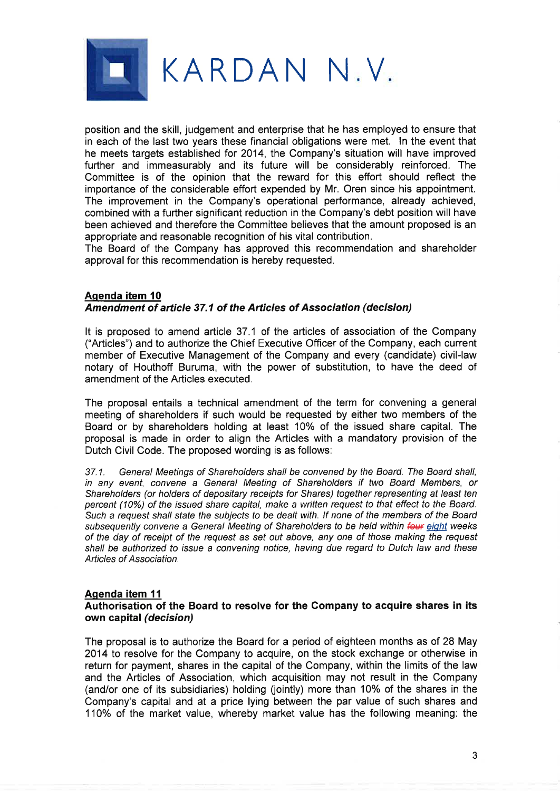

position and the skill, judgement and enterprise that he has employed to ensure that in each of the last two years these financial obligations were met. ln the event that he meets targets established for 2014, the Company's situation will have improved further and immeasurably and its future will be considerably reinforced. The Committee is of the opinion that the reward for this effort should reflect the importance of the considerable effort expended by Mr. Oren since his appointment. The improvement in the Company's operational performance, already achieved, combined with a further significant reduction in the Company's debt position will have been achieved and therefore the Committee believes that the amount proposed is an appropriate and reasonable recognition of his vital contribution.

The Board of the Company has approved this recommendation and shareholder approval for this recommendation is hereby requested.

### Agenda item 10 Amendment of article 37.1 of the Articles of Association (decision)

It is proposed to amend article 37.1 of the articles of association of the Company ("Articles") and to authorize the Chief Executive Officer of the Company, each current member of Executive Management of the Company and every (candidate) civil-law notary of Houthoff Buruma, with the power of substitution, to have the deed of amendment of the Articles executed.

The proposal entails a technical amendment of the term for convening a general meeting of shareholders if such would be requested by either two members of the Board or by shareholders holding at least 10% of the issued share capital. The proposal is made in order to align the Articles with a mandatory provision of the Dutch Civil Code. The proposed wording is as follows:

37.1. General Meetings of Shareholders shall be convened by the Board. The Board shall, in any event, convene a General Meeting of Shareholders if two Board Members, or Shareholders (or holders of depositary receipts for Shares) together representing at least ten percent (10%) of the issued share capital, make a written request to that effect to the Board. Such a request shall state the subjects to be dealt with. lf none of the members of the Board subsequently convene a General Meeting of Shareholders to be held within four eight weeks of the day of receipt of the requesf as sef out above, any one of those making the request shall be authorized to issue a convening notice, having due regard to Dutch law and these Articles of Association.

# Agenda item 11

#### Authorisation of the Board to resolve for the Gompany to acquire shares in its own capital (decision)

The proposal is to authorize the Board for a period of eighteen months as of 28 May 2014 to resolve for the Company to acquire, on the stock exchange or otherwise in return for payment, shares in the capital of the Company, within the limits of the law and the Articles of Association, which acquisition may not result in the Company (and/or one of its subsidiaries) holding (jointly) more than 10% of the shares in the Company's capital and at a price lying between the par value of such shares and 110% of the market value, whereby market value has the following meaning: the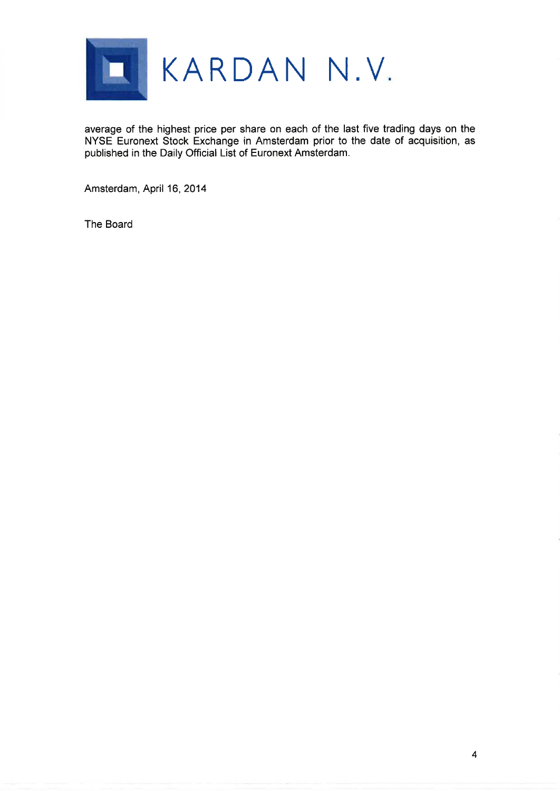

average of the highest price per share on each of the last five trading days on the NYSE Euronext Stock Exchange in Amsterdam prior to the date of acquisition, as published in the Daily Offìcial List of Euronext Amsterdam.

Amsterdam, April 16, 2014

The Board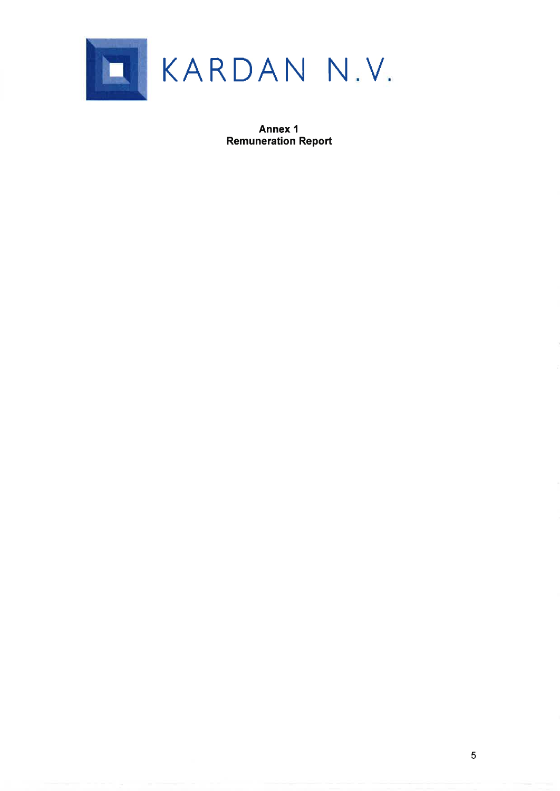

Annex I Remuneration Report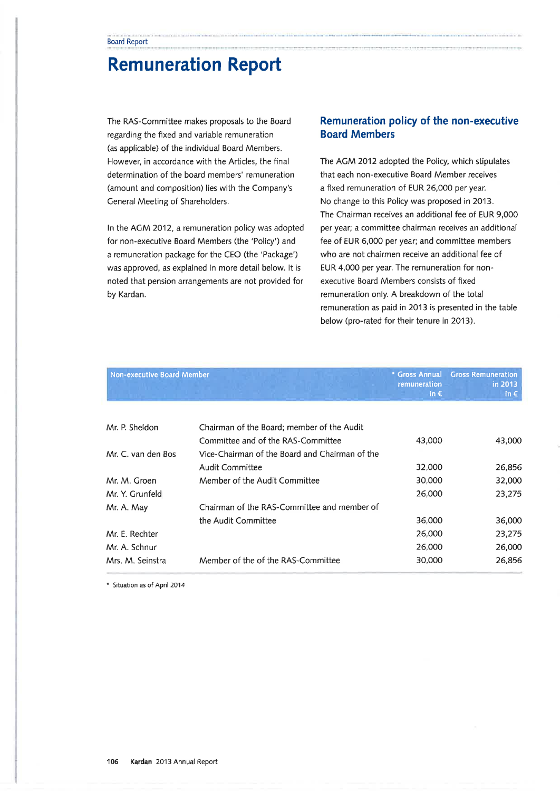# Remuneration Report

The RAS-Committee makes proposals to the Board regarding the fixed and variable remuneration (as applicable) of the individual Board Members. However, in accordance with the Articles, the final determination of the board members' remuneration (amount and composition) lies with the Company's General Meeting of Shareholders.

ln the ACM 2Q12, a remuneration policy was adopted for non-executive Board Members (the 'Policy') and a remuneration package for the CEO (the 'Package') was approved, as explained in more detail below. lt is noted that pension arrangements are not provided for by Kardan.

# Remuneration policy of the non-executive Board Members

The AGM 2012 adopted the Policy, which stipulates that each non-executive Board Member receives a fixed remuneration of EUR 26,000 per year. No change to this Policy was proposed in 2013. The Chairman receives an additional fee of EUR 9,000 per year; a committee chairman receives an additional fee of EUR 6,000 per year; and committee members who are not chairmen receive an additional fee of EUR 4,000 per year. The remuneration for nonexecutive Board Members consists of fixed remuneration only. A breakdown of the total remuneration as paid in 2013 is presented in the table below (pro-rated for their tenure in 2013).

| Non-executive Board Member |                                                | * Gross Annual                | <b>Gross Remuneration</b> |
|----------------------------|------------------------------------------------|-------------------------------|---------------------------|
|                            |                                                | remuneration<br>in $\epsilon$ | in 2013<br>in $\epsilon$  |
|                            |                                                |                               |                           |
| Mr. P. Sheldon             | Chairman of the Board; member of the Audit     |                               |                           |
|                            | Committee and of the RAS-Committee             | 43,000                        | 43,000                    |
| Mr. C. van den Bos         | Vice-Chairman of the Board and Chairman of the |                               |                           |
|                            | <b>Audit Committee</b>                         | 32,000                        | 26,856                    |
| Mr. M. Groen               | Member of the Audit Committee                  | 30,000                        | 32,000                    |
| Mr. Y. Grunfeld            |                                                | 26,000                        | 23,275                    |
| Mr. A. May                 | Chairman of the RAS-Committee and member of    |                               |                           |
|                            | the Audit Committee                            | 36,000                        | 36,000                    |
| Mr. E. Rechter             |                                                | 26,000                        | 23,275                    |
| Mr. A. Schnur              |                                                | 26,000                        | 26,000                    |
| Mrs. M. Seinstra           | Member of the of the RAS-Committee             | 30,000                        | 26,856                    |

\* Situation as of April 2014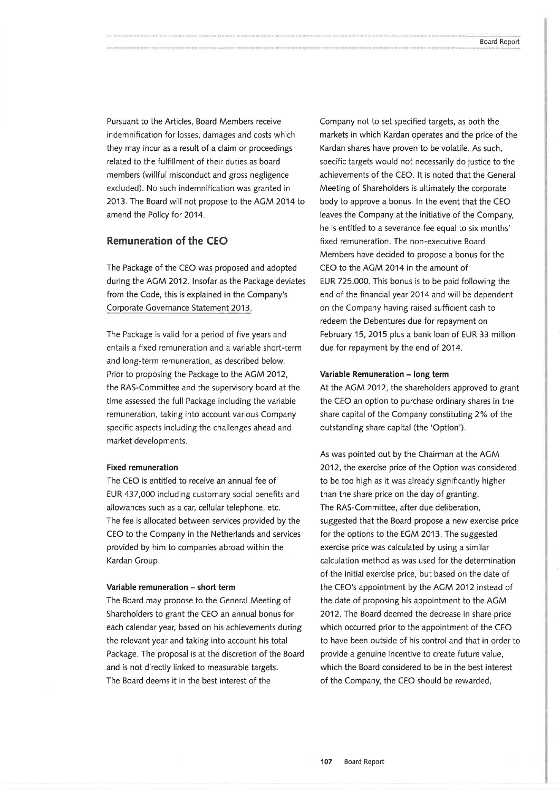Pursuant to the Articles, Board Members receive indemnification for losses, damages and costs which they may incur as a result of a claim or proceedings related to the fulfillment of their duties as board members (willful misconduct and gross negligence excluded). No such indemnification was granted in 2013. The Board will not propose to the AGM 2014 to amend the Policy for 2014.

### Remuneration of the CEO

The Package of the CEO was proposed and adopted during the AGM 2012. Insofar as the Package deviates from the Code, this is explained in the Company's Corporate Governance Statement 2013.

The Package is valid for a period of five years and entails a fixed remuneration and a variable short-term and long-term remuneration, as described below. Prior to proposing the Package to the ACM 2012, the RAS-Committee and the supervisory board at the time assessed the full Package including the variable remuneration, taking into account various Company specific aspects including the challenges ahead and market developments.

#### Fixed remuneration

The CEO is entitled to receive an annual fee of EUR 437,000 Ìncluding customary social benefits and allowances such as a car, cellular telephone, etc. The fee is allocated between services provided by the CEO to the Company in the Netherlands and services provided by him to companies abroad within the Kardan Croup.

#### Variable remuneration - short term

The Board may propose to the Ceneral Meeting of Shareholders to grant the CEO an annual bonus for each calendar year, based on his achievements during the relevant year and taking into account his total Package. The proposal is at the discretion of the Board and is not directly linked to measurable targets. The Board deems it in the best interest of the

Company not to set specifed targets, as both the markets in which Kardan operates and the price of the Kardan shares have proven to be volatile. As such, specific targets would not necessarily do justice to the achievements of the CEO. lt is noted that the General Meeting of Shareholders is ultimately the corporate body to approve a bonus. ln the event that the CEO leaves the Company at the initiative of the Company, he is entitled to a severance fee equal to six months' fixed remuneration. The non-executive Board Members have decided to propose a bonus for the CEO to the ACM 2014 in the amount of EUR 725.000. This bonus is to be paid following the end of the financial year 2014 and will be dependent on the Company having raised sufficient cash to redeem the Debentures due for repayment on February 15,2O15 plus a bank loan of EUR 33 million due for repayment by the end of 2014.

#### Variable Remuneration - long term

At the ACM 2012, the shareholders approved to grant the CEO an option to purchase ordinary shares in the share capital of the Company constituting 2% of the outstanding share capital (the 'Option').

As was pointed out by the Chairman at the ACM 2012, the exercise price of the Option was considered to be too high as it was already significantly higher than the share price on the day of granting. The RAS-Committee, after due deliberation, suggested that the Board propose a new exercise price for the options to the ECM 2013. The suggested exercise price was calculated by using a similar calculation method as was used for the determination of the initial exercise price, but based on the date of the CEO's appointment by the ACM 2012 instead of the date of proposing his appointment to the ACM 2012.The Board deemed the decrease in share price which occurred prior to the appointment of the CEO to have been outside of his control and that in order to provide a genuine incentive to create future value, which the Board considered to be in the best interest of the Company, the CEO should be rewarded,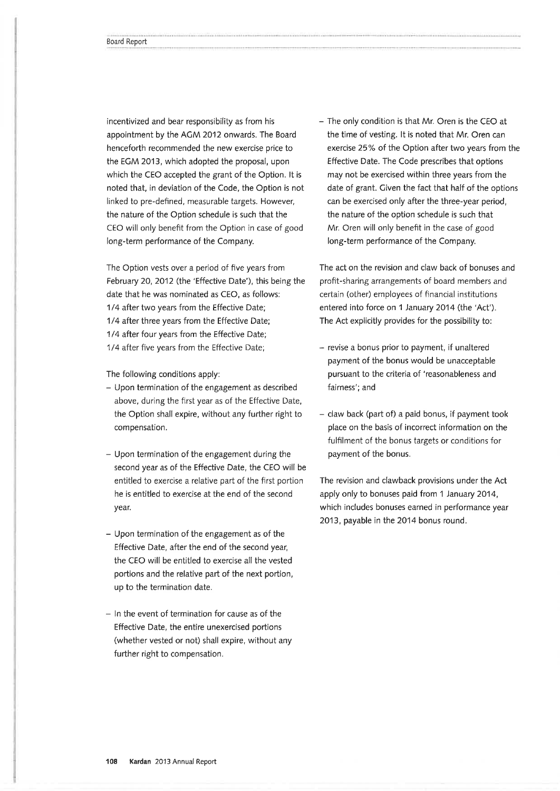incentivized and bear responsibility as from his appointment by the ACM 2012 onwards. The Board henceforth recommended the new exercise price to the ECM 2013, which adopted the proposal, upon which the CEO accepted the grant of the Option. lt is noted that, in deviation of the Code, the Option is not linked to pre-defined, measurable targets. However, the nature of the Option schedule is such that the CEO will only benefit from the Option in case of good long-term performance of the Company.

The Option vests over a period of five years from February 20,2012 (the 'Effective Date'), this being the date that he was nominated as CEO, as follows: 1/4 after two years from the Effective Date; 1/4 after three years from the Effective Date; 1/4 after four years from the Effective Date; 1/4 afler five years from the Effective Date;

The following conditions apply:

- Upon termination of the engagement as described above, during the first year as of the Effective Date, the Option shall expire, without any further right to compensation.
- Upon termination of the engagement during the second year as of the Effective Date, the CEO will be entitled to exercise a relative part of the first portion he is entitled to exercise at the end of the second year.
- Upon termination of the engagement as of the Effective Date, after the end of the second year, the CEO will be entitled to exercise all the vested portions and the relative part of the next portion, up to the termination date.
- In the event of termination for cause as of the Effective Date, the entire unexercised portions (whether vested or not) shall expire, without any further right to compensation.

- The only condition is that Mr. Oren is the CEO at the time of vesting. lt is noted that Mr. Oren can exercise 25% of the Option after two years from the Effective Date. The Code prescribes that options may not be exercised within three years from the date of grant. Civen the fact that half of the options can be exercised only after the three-year period, the nature of the option schedule is such that Mr. Oren will only beneft in the case of good long-term performance of the Company.

The act on the revision and claw back of bonuses and profit-sharing arrangements of board members and certain (other) employees of financial institutions entered into force on 1 January 2014 (the 'Act'). The Act explicitly provides for the possibility to:

- revise a bonus prior to payment, if unaltered payment of the bonus would be unacceptable pursuant to the criteria of 'reasonableness and fairness'; and
- $-$  claw back (part of) a paid bonus, if payment took place on the basis of incorrect information on the fulfilment of the bonus targets or conditions for payment of the bonus.

The revision and clawback provisions under the Act apply only to bonuses paid from 1 )anuary 2014, which includes bonuses earned in performance year 2013, payable in the 2014 bonus round.